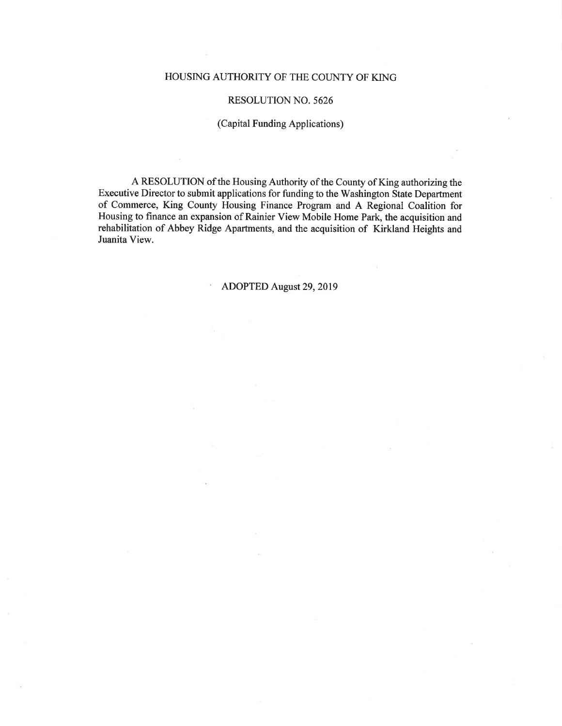#### HOUSING AUTHORITY OF THE COUNTY OF KING

#### **RESOLUTION NO. 5626**

#### (Capital Funding Applications)

A RESOLUTION of the Housing Authority of the County of King authorizing the Executive Director to submit applications for funding to the Washington State Department of Commerce, King County Housing Finance Program and A Regional Coalition for Housing to finance an expansion of Rainier View Mobile Home Park, the acquisition and rehabilitation of Abbey Ridge Apartments, and the acquisition of Kirkland Heights and Juanita View.

#### ADOPTED August 29, 2019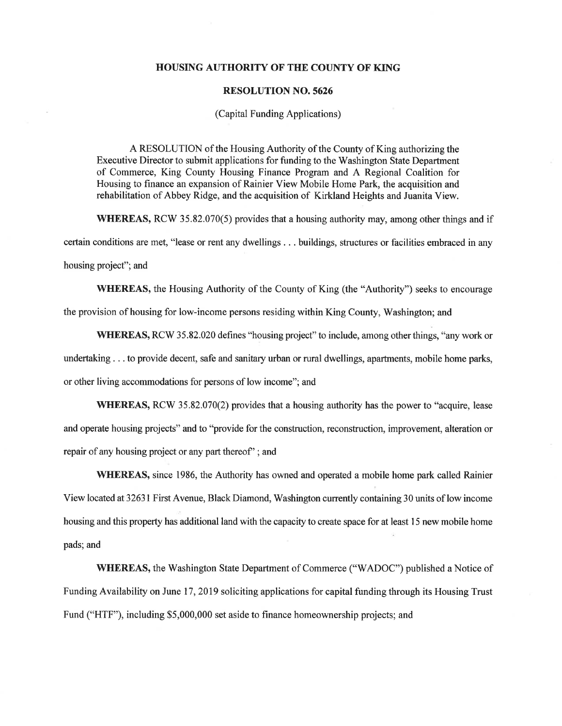#### **HOUSING AUTHORITY OF THE COUNTY OF KING**

#### **RESOLUTION NO. 5626**

#### (Capital Funding Applications)

A RESOLUTION of the Housing Authority of the County of King authorizing the Executive Director to submit applications for funding to the Washington State Department of Commerce, King County Housing Finance Program and A Regional Coalition for Housing to finance an expansion of Rainier View Mobile Home Park, the acquisition and rehabilitation of Abbey Ridge, and the acquisition of Kirkland Heights and Juanita View.

**WHEREAS, RCW** 35.82.070(5) provides that a housing authority may, among other things and if

certain conditions are met, "lease or rent any dwellings . . . buildings, structures or facilities embraced in any

housing project"; and

WHEREAS, the Housing Authority of the County of King (the "Authority") seeks to encourage

the provision of housing for low-income persons residing within King County, Washington; and

**WHEREAS, RCW** 35.82.020 defines "housing project" to include, among other things, "any work or undertaking . . . to provide decent, safe and sanitary urban or rural dwellings, apartments, mobile home parks,

or other living accommodations for persons of low income"; and

**WHEREAS, RCW** 35.82.070(2) provides that a housing authority has the power to "acquire, lease and operate housing projects" and to "provide for the construction, reconstruction, improvement, alteration or repair of any housing project or any part thereof"; and

**WHEREAS**, since 1986, the Authority has owned and operated a mobile home park called Rainier View located at 32631 First Avenue, Black Diamond, Washington currently containing 30 units of low income housing and this property has additional land with the capacity to create space for at least 15 new mobile home pads; and

**WHEREAS, the Washington State Department of Commerce ("WADOC") published a Notice of** Funding Availability on June 17, 2019 soliciting applications for capital funding through its Housing Trust Fund ("HTF"), including \$5,000,000 set aside to finance homeownership projects; and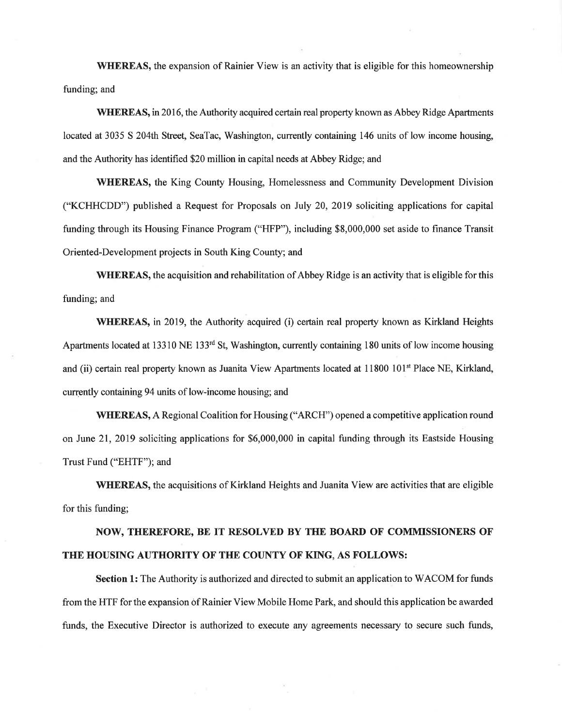WHEREAS, the expansion of Rainier View is an activity that is eligible for this homeownership funding; and

**WHEREAS**, in 2016, the Authority acquired certain real property known as Abbey Ridge Apartments located at 3035 S 204th Street, SeaTac, Washington, currently containing 146 units of low income housing, and the Authority has identified \$20 million in capital needs at Abbey Ridge; and

**WHEREAS, the King County Housing, Homelessness and Community Development Division** ("KCHHCDD") published a Request for Proposals on July 20, 2019 soliciting applications for capital funding through its Housing Finance Program ("HFP"), including \$8,000,000 set aside to finance Transit Oriented-Development projects in South King County; and

**WHEREAS, the acquisition and rehabilitation of Abbey Ridge is an activity that is eligible for this** funding; and

**WHEREAS**, in 2019, the Authority acquired (i) certain real property known as Kirkland Heights Apartments located at 13310 NE 133<sup>rd</sup> St, Washington, currently containing 180 units of low income housing and (ii) certain real property known as Juanita View Apartments located at 11800 101<sup>st</sup> Place NE, Kirkland, currently containing 94 units of low-income housing; and

**WHEREAS, A Regional Coalition for Housing ("ARCH") opened a competitive application round** on June 21, 2019 soliciting applications for \$6,000,000 in capital funding through its Eastside Housing Trust Fund ("EHTF"); and

**WHEREAS**, the acquisitions of Kirkland Heights and Juanita View are activities that are eligible for this funding;

## NOW, THEREFORE, BE IT RESOLVED BY THE BOARD OF COMMISSIONERS OF THE HOUSING AUTHORITY OF THE COUNTY OF KING, AS FOLLOWS:

**Section 1:** The Authority is authorized and directed to submit an application to WACOM for funds from the HTF for the expansion of Rainier View Mobile Home Park, and should this application be awarded funds, the Executive Director is authorized to execute any agreements necessary to secure such funds,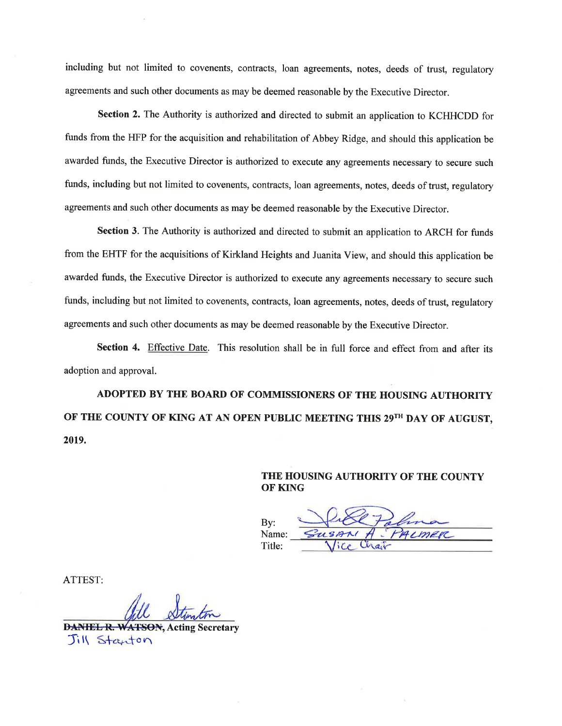including but not limited to covenents, contracts, loan agreements, notes, deeds of trust, regulatory agreements and such other documents as may be deemed reasonable by the Executive Director.

Section 2. The Authority is authorized and directed to submit an application to KCHHCDD for funds from the HFP for the acquisition and rehabilitation of Abbey Ridge, and should this application be awarded funds, the Executive Director is authorized to execute any agreements necessary to secure such funds, including but not limited to covenents, contracts, loan agreements, notes, deeds of trust, regulatory agreements and such other documents as may be deemed reasonable by the Executive Director.

Section 3. The Authority is authorized and directed to submit an application to ARCH for funds from the EHTF for the acquisitions of Kirkland Heights and Juanita View, and should this application be awarded funds, the Executive Director is authorized to execute any agreements necessary to secure such funds, including but not limited to covenents, contracts, loan agreements, notes, deeds of trust, regulatory agreements and such other documents as may be deemed reasonable by the Executive Director.

Section 4. Effective Date. This resolution shall be in full force and effect from and after its adoption and approval.

ADOPTED BY THE BOARD OF COMMISSIONERS OF THE HOUSING AUTHORITY OF THE COUNTY OF KING AT AN OPEN PUBLIC MEETING THIS 29TH DAY OF AUGUST, 2019.

> THE HOUSING AUTHORITY OF THE COUNTY **OF KING**

 $Bv:$ Name: Title:

ATTEST:

**DANIEL R. WATSON, Acting Secretary** Jill Stanton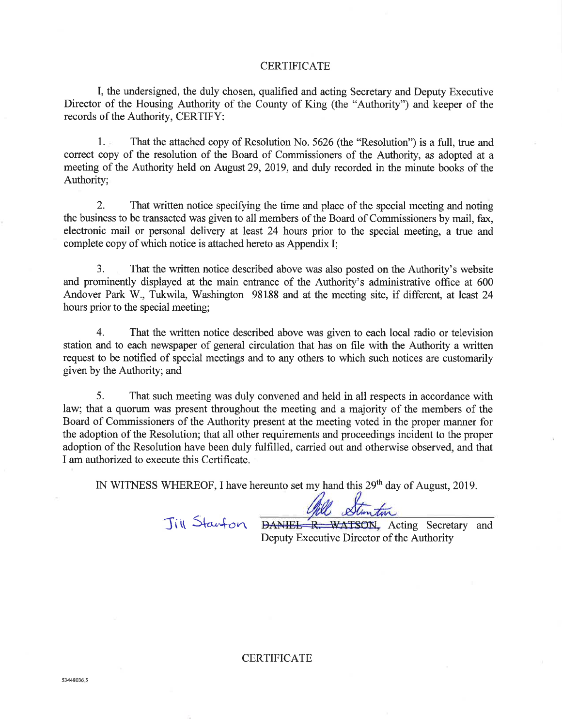#### **CERTIFICATE**

I, the undersigned, the duly chosen, qualified and acting Secretary and Deputy Executive Director of the Housing Authority of the County of King (the "Authority") and keeper of the records of the Authority, CERTIFY:

 $1.1$ That the attached copy of Resolution No. 5626 (the "Resolution") is a full, true and correct copy of the resolution of the Board of Commissioners of the Authority, as adopted at a meeting of the Authority held on August 29, 2019, and duly recorded in the minute books of the Authority:

 $2.$ That written notice specifying the time and place of the special meeting and noting the business to be transacted was given to all members of the Board of Commissioners by mail, fax, electronic mail or personal delivery at least 24 hours prior to the special meeting, a true and complete copy of which notice is attached hereto as Appendix I;

 $\overline{3}$ . That the written notice described above was also posted on the Authority's website and prominently displayed at the main entrance of the Authority's administrative office at 600 Andover Park W., Tukwila, Washington 981.88 and at the meeting site, if different, at least 24 hours prior to the special meeting;

 $\overline{4}$ . That the written notice described above was given to each local radio or television station and to each newspaper of general circulation that has on file with the Authority a written request to be notified of special meetings and to any others to which such notices are customarily given by the Authority; and

5. That such meeting was duly convened and held in all respects in accordance with law; that a quorum was present throughout the meeting and a majority of the members of the Board of Commissioners of the Authority present at the meeting voted in the proper manner for the adoption of the Resolution; that all other requirements and proceedings incident to the proper adoption of the Resolution have been duly fulfilled, carried out and otherwise observed, and that I am authorized to execute this Certificate.

IN WITNESS WHEREOF, I have hereunto set my hand this 29<sup>th</sup> day of August, 2019.

Till Stanfon

Will Stanton<br>DANIEL R. WATSON, Acting Secretary and Deputy Executive Director of the Authority

#### **CERTIFICATE**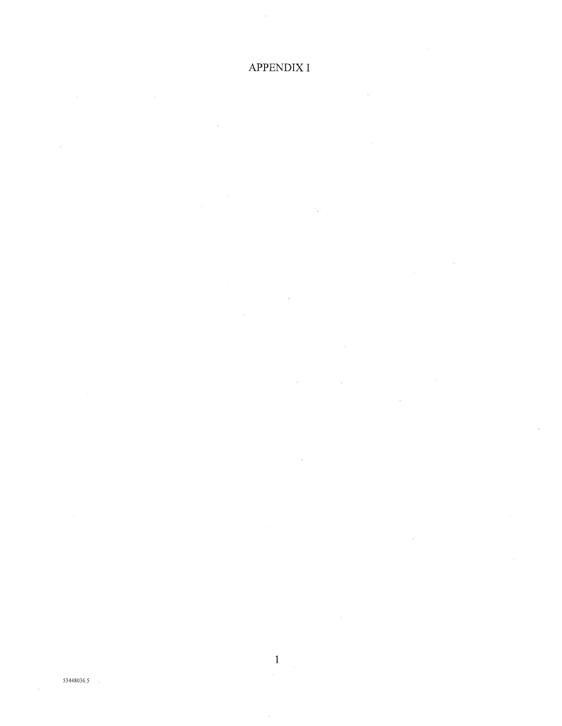### **APPENDIX I**

ä

- 29

 $\widetilde{\Sigma}$ 

 $\alpha$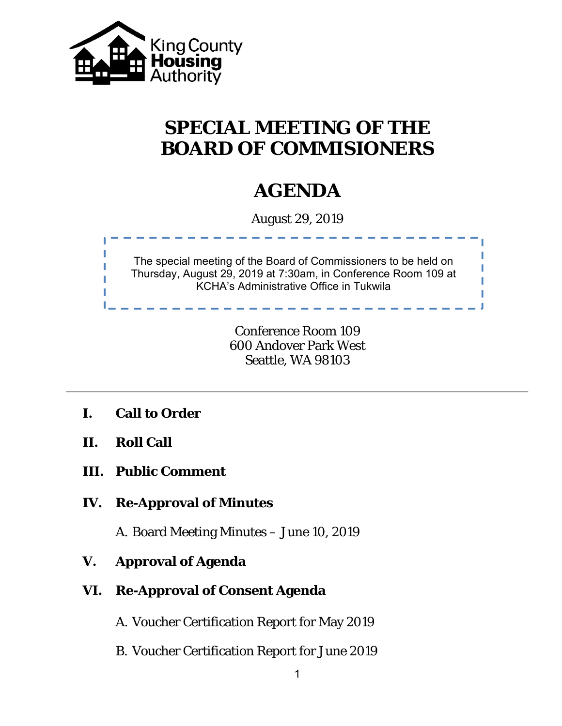

# **SPECIAL MEETING OF THE BOARD OF COMMISIONERS**

## **AGENDA**

August 29, 2019



Conference Room 109 600 Andover Park West Seattle, WA 98103

- **I. Call to Order**
- **II. Roll Call**
- **III. Public Comment**
- **IV. Re-Approval of Minutes**

A. Board Meeting Minutes – June 10, 2019

- **V. Approval of Agenda**
- **VI. Re-Approval of Consent Agenda** 
	- A. Voucher Certification Report for May 2019
	- B. Voucher Certification Report for June 2019